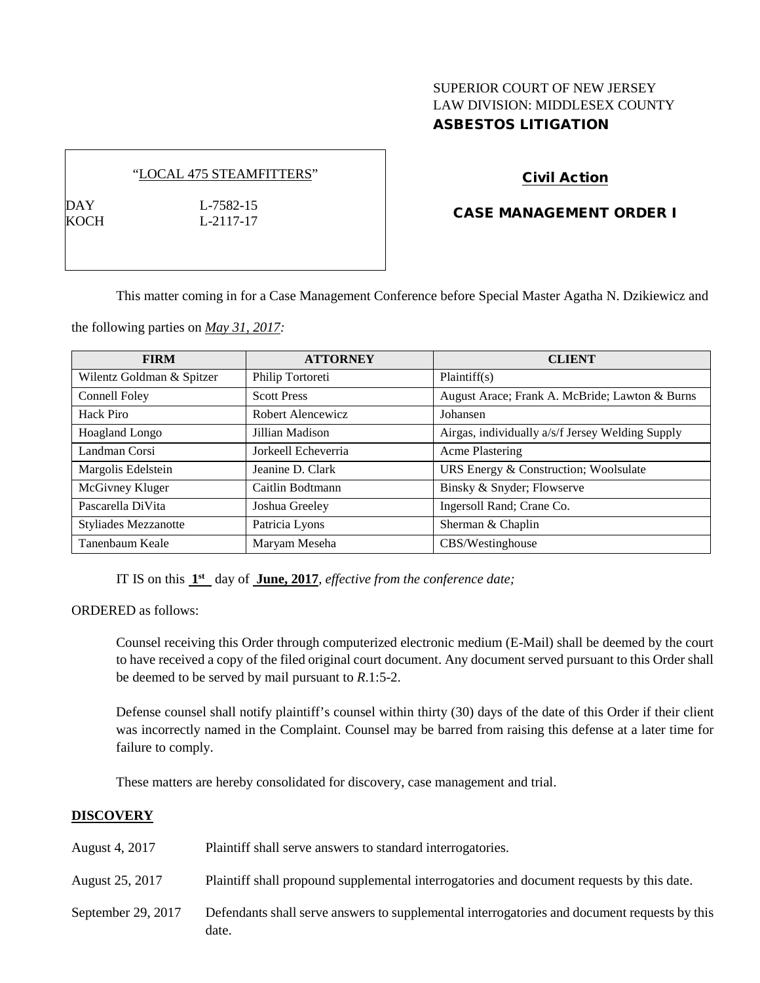## SUPERIOR COURT OF NEW JERSEY LAW DIVISION: MIDDLESEX COUNTY ASBESTOS LITIGATION

#### "LOCAL 475 STEAMFITTERS"

DAY L-7582-15 KOCH L-2117-17

# Civil Action

### CASE MANAGEMENT ORDER I

This matter coming in for a Case Management Conference before Special Master Agatha N. Dzikiewicz and

the following parties on *May 31, 2017:*

| <b>FIRM</b>                 | <b>ATTORNEY</b>     | <b>CLIENT</b>                                    |
|-----------------------------|---------------------|--------------------------------------------------|
| Wilentz Goldman & Spitzer   | Philip Tortoreti    | Plaintiff(s)                                     |
| Connell Foley               | <b>Scott Press</b>  | August Arace; Frank A. McBride; Lawton & Burns   |
| Hack Piro                   | Robert Alencewicz   | Johansen                                         |
| Hoagland Longo              | Jillian Madison     | Airgas, individually a/s/f Jersey Welding Supply |
| Landman Corsi               | Jorkeell Echeverria | <b>Acme Plastering</b>                           |
| Margolis Edelstein          | Jeanine D. Clark    | URS Energy & Construction; Woolsulate            |
| McGivney Kluger             | Caitlin Bodtmann    | Binsky & Snyder; Flowserve                       |
| Pascarella DiVita           | Joshua Greeley      | Ingersoll Rand; Crane Co.                        |
| <b>Styliades Mezzanotte</b> | Patricia Lyons      | Sherman & Chaplin                                |
| Tanenbaum Keale             | Maryam Meseha       | CBS/Westinghouse                                 |

IT IS on this **1st** day of **June, 2017**, *effective from the conference date;*

ORDERED as follows:

Counsel receiving this Order through computerized electronic medium (E-Mail) shall be deemed by the court to have received a copy of the filed original court document. Any document served pursuant to this Order shall be deemed to be served by mail pursuant to *R*.1:5-2.

Defense counsel shall notify plaintiff's counsel within thirty (30) days of the date of this Order if their client was incorrectly named in the Complaint. Counsel may be barred from raising this defense at a later time for failure to comply.

These matters are hereby consolidated for discovery, case management and trial.

### **DISCOVERY**

| August 4, 2017     | Plaintiff shall serve answers to standard interrogatories.                                            |
|--------------------|-------------------------------------------------------------------------------------------------------|
| August 25, 2017    | Plaintiff shall propound supplemental interrogatories and document requests by this date.             |
| September 29, 2017 | Defendants shall serve answers to supplemental interrogatories and document requests by this<br>date. |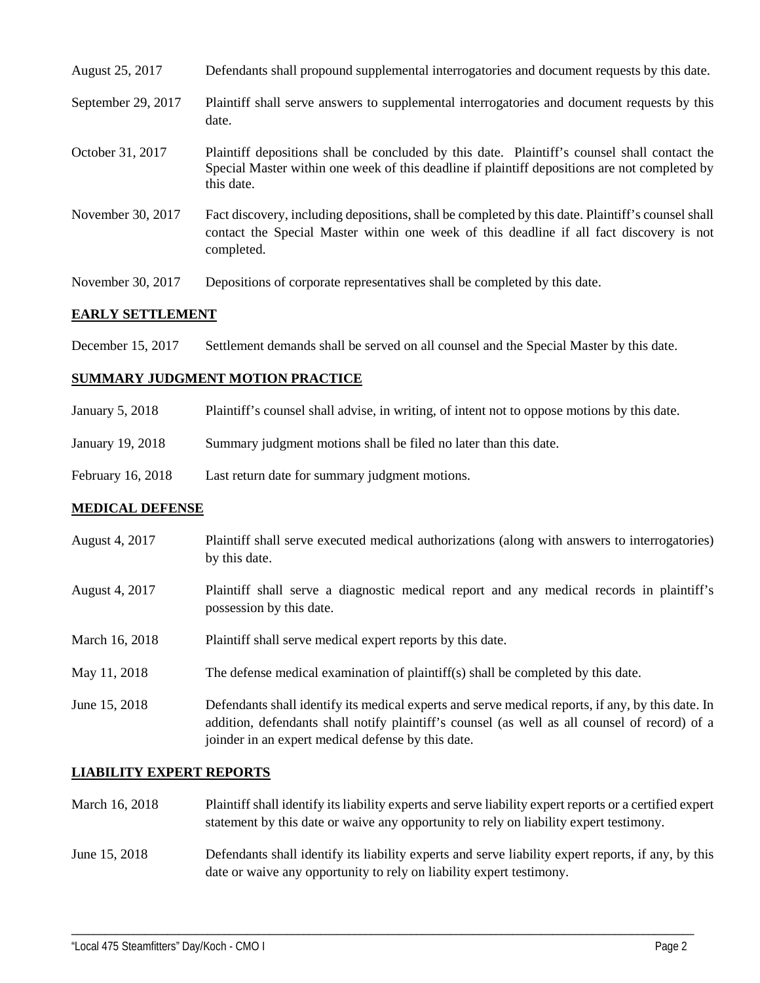| August 25, 2017    | Defendants shall propound supplemental interrogatories and document requests by this date.                                                                                                                  |
|--------------------|-------------------------------------------------------------------------------------------------------------------------------------------------------------------------------------------------------------|
| September 29, 2017 | Plaintiff shall serve answers to supplemental interrogatories and document requests by this<br>date.                                                                                                        |
| October 31, 2017   | Plaintiff depositions shall be concluded by this date. Plaintiff's counsel shall contact the<br>Special Master within one week of this deadline if plaintiff depositions are not completed by<br>this date. |
| November 30, 2017  | Fact discovery, including depositions, shall be completed by this date. Plaintiff's counsel shall<br>contact the Special Master within one week of this deadline if all fact discovery is not<br>completed. |
| November 30, 2017  | Depositions of corporate representatives shall be completed by this date.                                                                                                                                   |

### **EARLY SETTLEMENT**

December 15, 2017 Settlement demands shall be served on all counsel and the Special Master by this date.

### **SUMMARY JUDGMENT MOTION PRACTICE**

| January 5, 2018   | Plaintiff's counsel shall advise, in writing, of intent not to oppose motions by this date. |
|-------------------|---------------------------------------------------------------------------------------------|
| January 19, 2018  | Summary judgment motions shall be filed no later than this date.                            |
| February 16, 2018 | Last return date for summary judgment motions.                                              |

### **MEDICAL DEFENSE**

- August 4, 2017 Plaintiff shall serve executed medical authorizations (along with answers to interrogatories) by this date.
- August 4, 2017 Plaintiff shall serve a diagnostic medical report and any medical records in plaintiff's possession by this date.
- March 16, 2018 Plaintiff shall serve medical expert reports by this date.
- May 11, 2018 The defense medical examination of plaintiff(s) shall be completed by this date.
- June 15, 2018 Defendants shall identify its medical experts and serve medical reports, if any, by this date. In addition, defendants shall notify plaintiff's counsel (as well as all counsel of record) of a joinder in an expert medical defense by this date.

### **LIABILITY EXPERT REPORTS**

- March 16, 2018 Plaintiff shall identify its liability experts and serve liability expert reports or a certified expert statement by this date or waive any opportunity to rely on liability expert testimony.
- June 15, 2018 Defendants shall identify its liability experts and serve liability expert reports, if any, by this date or waive any opportunity to rely on liability expert testimony.

\_\_\_\_\_\_\_\_\_\_\_\_\_\_\_\_\_\_\_\_\_\_\_\_\_\_\_\_\_\_\_\_\_\_\_\_\_\_\_\_\_\_\_\_\_\_\_\_\_\_\_\_\_\_\_\_\_\_\_\_\_\_\_\_\_\_\_\_\_\_\_\_\_\_\_\_\_\_\_\_\_\_\_\_\_\_\_\_\_\_\_\_\_\_\_\_\_\_\_\_\_\_\_\_\_\_\_\_\_\_